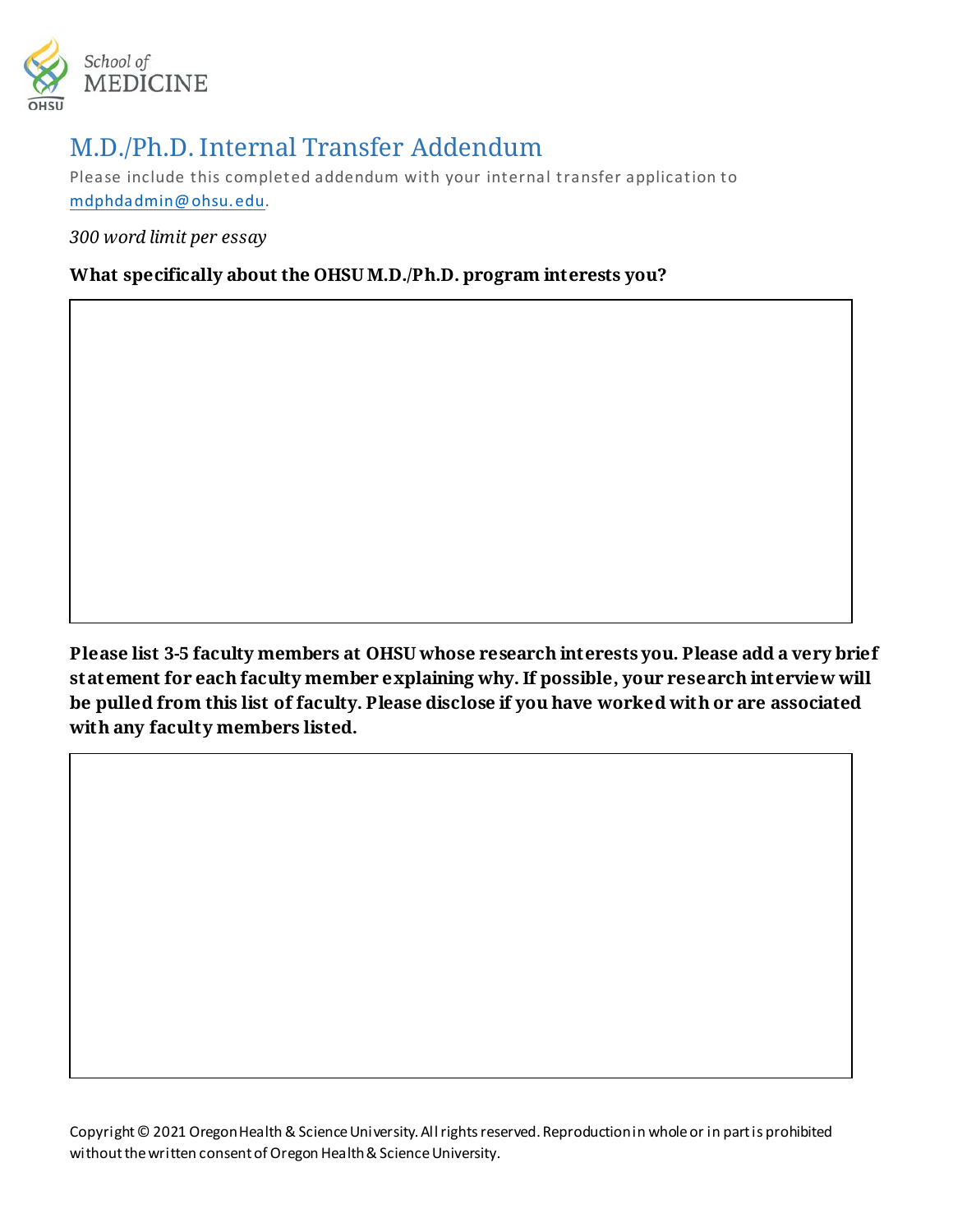

## M.D./Ph.D. Internal Transfer Addendum

Please include this completed addendum with your internal transfer application to [mdphdadmin@ohsu.edu.](mailto:mdphdadmin@ohsu.edu)

*300 word limit per essay*

## **What specifically about the OHSU M.D./Ph.D. program interests you?**

**Please list 3-5 faculty members at OHSU whose research interests you. Please add a very brief statement for each faculty member explaining why. If possible, your research interview will be pulled from this list of faculty. Please disclose if you have worked with or are associated with any faculty members listed.** 

Copyright © 2021 Oregon Health & Science University. All rights reserved. Reproduction in whole or in part is prohibited without the written consent of Oregon Health & Science University.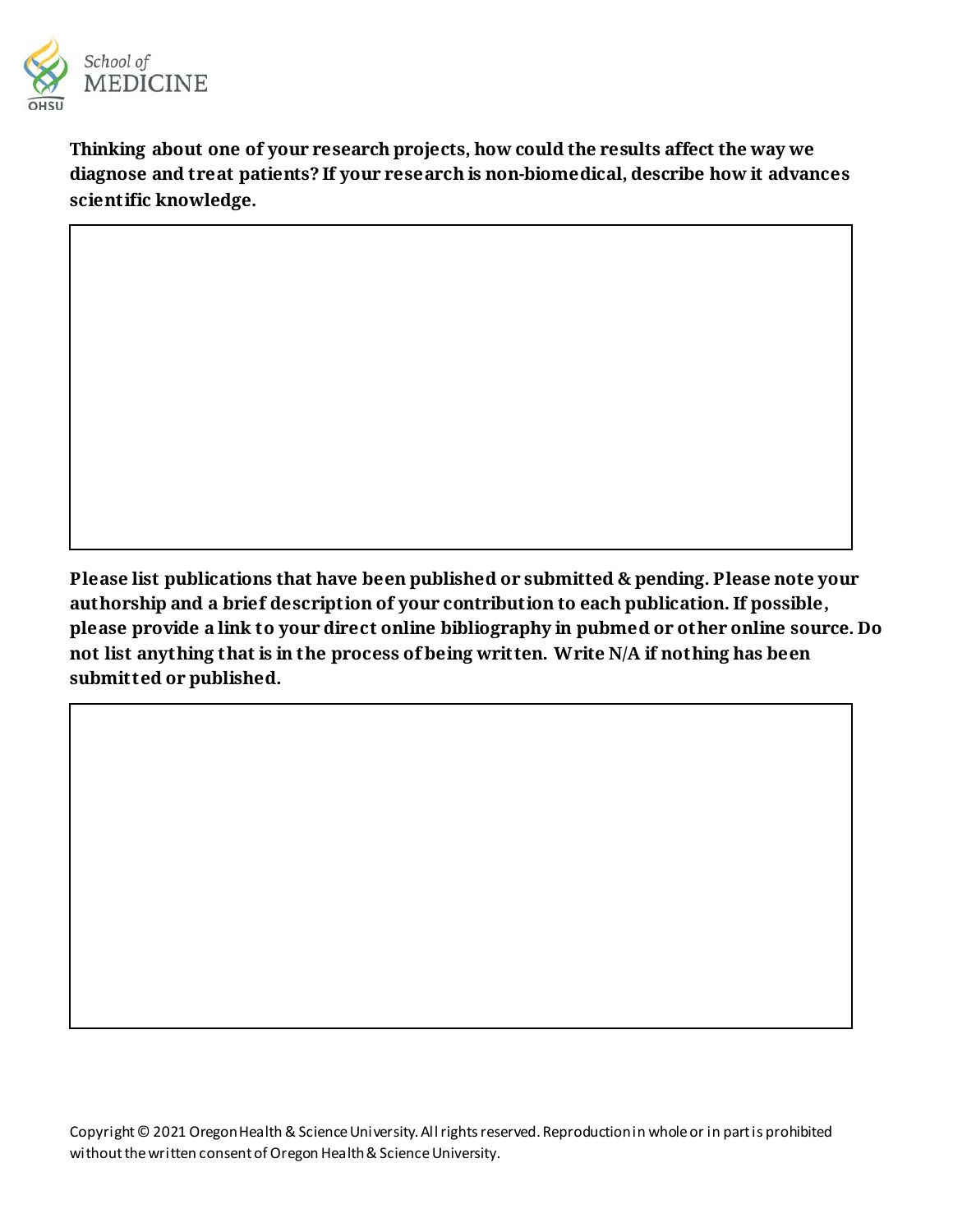

**Thinking about one of your research projects, how could the results affect the way we diagnose and treat patients? If your research is non-biomedical, describe how it advances scientific knowledge.** 

**Please list publications that have been published or submitted & pending. Please note your authorship and a brief description of your contribution to each publication. If possible, please provide a link to your direct online bibliography in pubmed or other online source. Do not list anything that is in the process of being written. Write N/A if nothing has been submitted or published.**

Copyright © 2021 Oregon Health & Science University. All rights reserved. Reproduction in whole or in part is prohibited without the written consent of Oregon Health & Science University.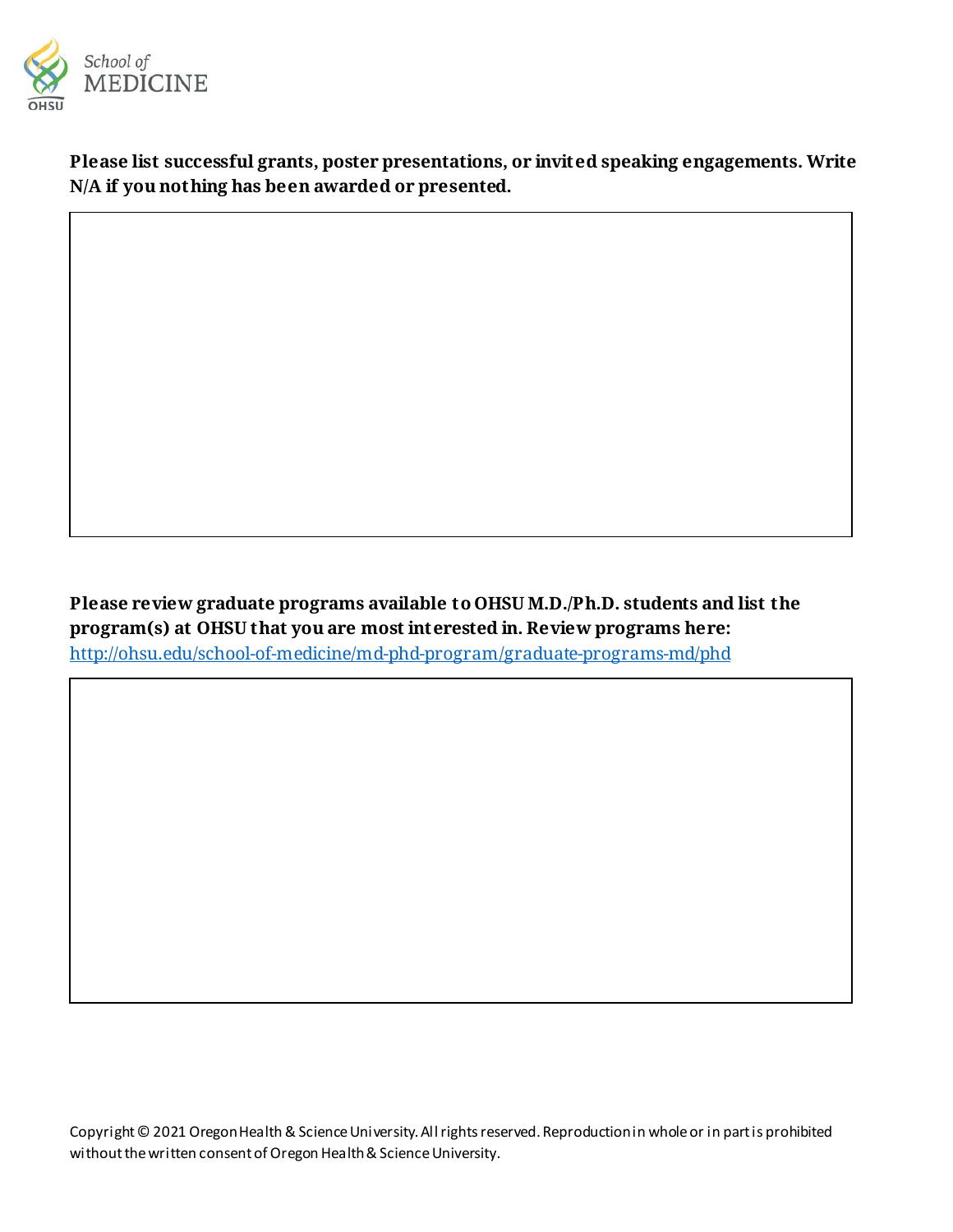

**Please list successful grants, poster presentations, or invited speaking engagements. Write N/A if you nothing has been awarded or presented.** 

**Please review graduate programs available to OHSU M.D./Ph.D. students and list the program(s) at OHSU that you are most interested in. Review programs here:**  <http://ohsu.edu/school-of-medicine/md-phd-program/graduate-programs-md/phd>

Copyright © 2021 Oregon Health & Science University. All rights reserved. Reproduction in whole or in part is prohibited without the written consent of Oregon Health & Science University.